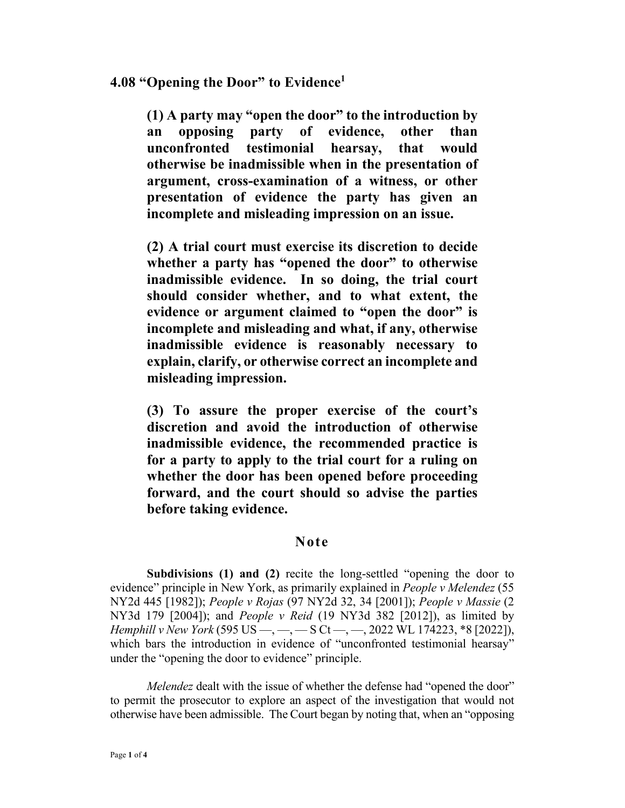## **4.08 "Opening the Door" to Evidence<sup>1</sup>**

**(1) A party may "open the door" to the introduction by an opposing party of evidence, other than unconfronted testimonial hearsay, that would otherwise be inadmissible when in the presentation of argument, cross-examination of a witness, or other presentation of evidence the party has given an incomplete and misleading impression on an issue.** 

**(2) A trial court must exercise its discretion to decide whether a party has "opened the door" to otherwise inadmissible evidence. In so doing, the trial court should consider whether, and to what extent, the evidence or argument claimed to "open the door" is incomplete and misleading and what, if any, otherwise inadmissible evidence is reasonably necessary to explain, clarify, or otherwise correct an incomplete and misleading impression.** 

**(3) To assure the proper exercise of the court's discretion and avoid the introduction of otherwise inadmissible evidence, the recommended practice is for a party to apply to the trial court for a ruling on whether the door has been opened before proceeding forward, and the court should so advise the parties before taking evidence.** 

## **Note**

**Subdivisions (1) and (2)** recite the long-settled "opening the door to evidence" principle in New York, as primarily explained in *People v Melendez* (55 NY2d 445 [1982]); *People v Rojas* (97 NY2d 32, 34 [2001]); *People v Massie* (2 NY3d 179 [2004]); and *People v Reid* (19 NY3d 382 [2012]), as limited by *Hemphill v New York* (595 US —, —, — S Ct —, —, 2022 WL 174223, \*8 [2022]), which bars the introduction in evidence of "unconfronted testimonial hearsay" under the "opening the door to evidence" principle.

*Melendez* dealt with the issue of whether the defense had "opened the door" to permit the prosecutor to explore an aspect of the investigation that would not otherwise have been admissible. The Court began by noting that, when an "opposing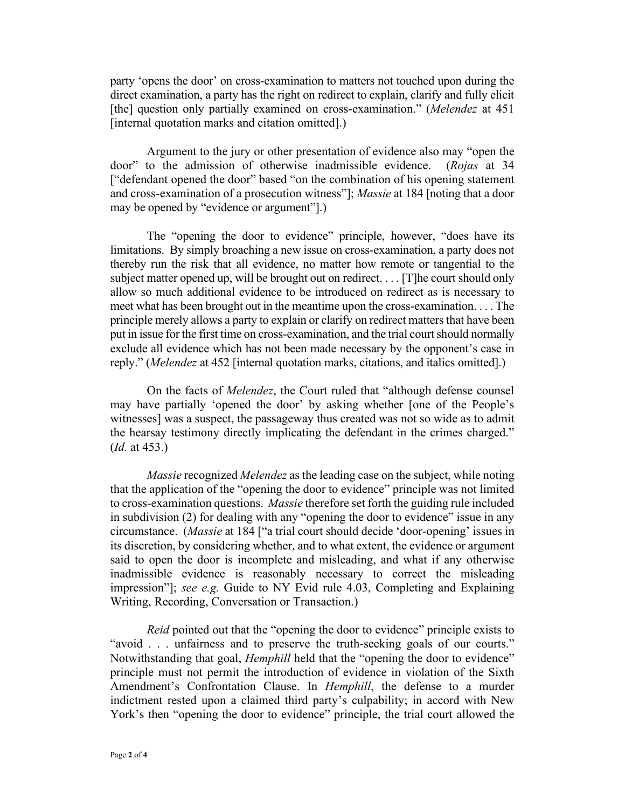party 'opens the door' on cross-examination to matters not touched upon during the direct examination, a party has the right on redirect to explain, clarify and fully elicit [the] question only partially examined on cross-examination." (*Melendez* at 451 [internal quotation marks and citation omitted].)

Argument to the jury or other presentation of evidence also may "open the door" to the admission of otherwise inadmissible evidence. (*Rojas* at 34 ["defendant opened the door" based "on the combination of his opening statement and cross-examination of a prosecution witness"]; *Massie* at 184 [noting that a door may be opened by "evidence or argument"].)

The "opening the door to evidence" principle, however, "does have its limitations. By simply broaching a new issue on cross-examination, a party does not thereby run the risk that all evidence, no matter how remote or tangential to the subject matter opened up, will be brought out on redirect. . . . [T]he court should only allow so much additional evidence to be introduced on redirect as is necessary to meet what has been brought out in the meantime upon the cross-examination. . . . The principle merely allows a party to explain or clarify on redirect matters that have been put in issue for the first time on cross-examination, and the trial court should normally exclude all evidence which has not been made necessary by the opponent's case in reply." (*Melendez* at 452 [internal quotation marks, citations, and italics omitted].)

On the facts of *Melendez*, the Court ruled that "although defense counsel may have partially 'opened the door' by asking whether [one of the People's witnesses] was a suspect, the passageway thus created was not so wide as to admit the hearsay testimony directly implicating the defendant in the crimes charged." (*Id.* at 453.)

*Massie* recognized *Melendez* as the leading case on the subject, while noting that the application of the "opening the door to evidence" principle was not limited to cross-examination questions. *Massie* therefore set forth the guiding rule included in subdivision (2) for dealing with any "opening the door to evidence" issue in any circumstance. (*Massie* at 184 ["a trial court should decide 'door-opening' issues in its discretion, by considering whether, and to what extent, the evidence or argument said to open the door is incomplete and misleading, and what if any otherwise inadmissible evidence is reasonably necessary to correct the misleading impression"]; *see e.g.* Guide to NY Evid rule 4.03, Completing and Explaining Writing, Recording, Conversation or Transaction.)

*Reid* pointed out that the "opening the door to evidence" principle exists to "avoid . . . unfairness and to preserve the truth-seeking goals of our courts." Notwithstanding that goal, *Hemphill* held that the "opening the door to evidence" principle must not permit the introduction of evidence in violation of the Sixth Amendment's Confrontation Clause. In *Hemphill*, the defense to a murder indictment rested upon a claimed third party's culpability; in accord with New York's then "opening the door to evidence" principle, the trial court allowed the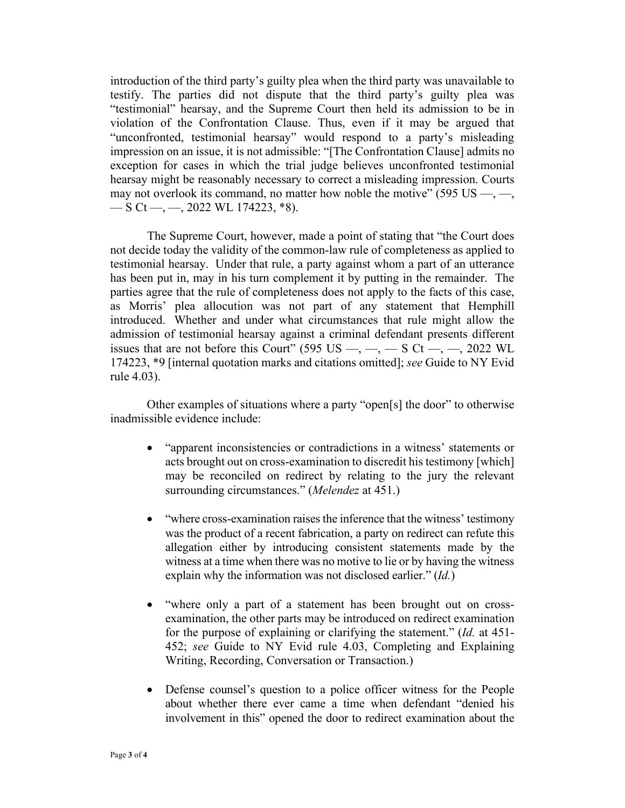introduction of the third party's guilty plea when the third party was unavailable to testify. The parties did not dispute that the third party's guilty plea was "testimonial" hearsay, and the Supreme Court then held its admission to be in violation of the Confrontation Clause. Thus, even if it may be argued that "unconfronted, testimonial hearsay" would respond to a party's misleading impression on an issue, it is not admissible: "[The Confrontation Clause] admits no exception for cases in which the trial judge believes unconfronted testimonial hearsay might be reasonably necessary to correct a misleading impression. Courts may not overlook its command, no matter how noble the motive" (595 US  $-$ ,  $-$ ,  $-$  S Ct —, —, 2022 WL 174223,  $*$ 8).

 The Supreme Court, however, made a point of stating that "the Court does not decide today the validity of the common-law rule of completeness as applied to testimonial hearsay. Under that rule, a party against whom a part of an utterance has been put in, may in his turn complement it by putting in the remainder. The parties agree that the rule of completeness does not apply to the facts of this case, as Morris' plea allocution was not part of any statement that Hemphill introduced. Whether and under what circumstances that rule might allow the admission of testimonial hearsay against a criminal defendant presents different issues that are not before this Court" (595 US  $-$ ,  $-$ ,  $-$  S Ct  $-$ ,  $-$ , 2022 WL 174223, \*9 [internal quotation marks and citations omitted]; *see* Guide to NY Evid rule 4.03).

Other examples of situations where a party "open[s] the door" to otherwise inadmissible evidence include:

- "apparent inconsistencies or contradictions in a witness' statements or acts brought out on cross-examination to discredit his testimony [which] may be reconciled on redirect by relating to the jury the relevant surrounding circumstances." (*Melendez* at 451.)
- "where cross-examination raises the inference that the witness' testimony was the product of a recent fabrication, a party on redirect can refute this allegation either by introducing consistent statements made by the witness at a time when there was no motive to lie or by having the witness explain why the information was not disclosed earlier." (*Id.*)
- "where only a part of a statement has been brought out on crossexamination, the other parts may be introduced on redirect examination for the purpose of explaining or clarifying the statement." (*Id.* at 451- 452; *see* Guide to NY Evid rule 4.03, Completing and Explaining Writing, Recording, Conversation or Transaction.)
- Defense counsel's question to a police officer witness for the People about whether there ever came a time when defendant "denied his involvement in this" opened the door to redirect examination about the